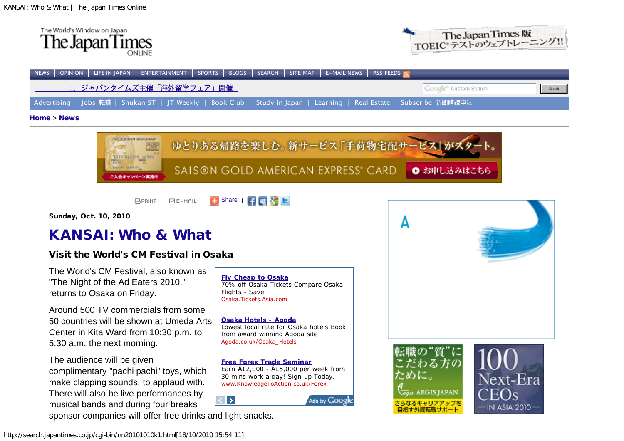



| NEWS OPINION LIFE IN JAPAN ENTERTAINMENT SPORTS BLOGS SEARCH SITE MAP E-MAIL NEWS RSS FEEDS                              |                                    |
|--------------------------------------------------------------------------------------------------------------------------|------------------------------------|
| 土 ジャパンタイムズ主催「海外留学フェア」開催                                                                                                  | Google <sup>nd</sup> Custom Search |
| ■ Advertising   Jobs 転職   Shukan ST   JT Weekly   Book Club   Study in Japan   Learning   Real Estate   Subscribe 新聞購読申込 |                                    |
|                                                                                                                          |                                    |

[Home](http://www.japantimes.co.jp/) > [News](http://www.japantimes.co.jp/news.html)



**APRINT**  $E = -MAIL$ 

Sunday, Oct. 10, 2010

# [KANSAI: Who & What](http://search.japantimes.co.jp/cgi-bin/nn-k-all.html)

# Visit the World's CM Festival in Osaka

The World's CM Festival, also known as "The Night of the Ad Eaters 2010," returns to Osaka on Friday.

Around 500 TV commercials from some 50 countries will be shown at Umeda Arts Center in Kita Ward from 10:30 p.m. to 5:30 a.m. the next morning.

The audience will be given complimentary "pachi pachi" toys, which make clapping sounds, to applaud with. There will also be live performances by musical bands and during four breaks sponsor companies will offer free drinks and light snacks.

**[Fly Cheap to Osaka](http://googleads.g.doubleclick.net/aclk?sa=l&ai=BAdSQ11-8TLWUIMP8-Ab6kf2_CI-tr5IB4_rfsRbAjbcBgNMOEAEYASDb6bUDKAM4AFCn2c4uYLuux4PYCqABl8rv_QOyARdzZWFyY2guamFwYW50aW1lcy5jby5qcLoBCjI1MHgyNTBfYXPIAQHaAThodHRwOi8vc2VhcmNoLmphcGFudGltZXMuY28uanAvY2dpLWJpbi9ubjIwMTAxMDEwazEuaHRtbIACAcgC8c2xCqgDAcgDF-gDywHoA4cq6AO6J-gD9wLoA_AH9QMAAABE&num=1&sig=AGiWqtx_38vLF_RjFgROFYmyN4TNGuk_sQ&client=ca-pub-4223870936880387&adurl=http://Osaka.Tickets.asia.com/cheap-flights-city/Osaka/Compare-Osaka-Flights-and-Deals)** 70% off Osaka Tickets Compare Osaka Flights - Save Osaka.Tickets.Asia.com

[Share](http://www.addthis.com/bookmark.php?v=250&pub=jtimes) |

**[Osaka Hotels - Agoda](http://googleads.g.doubleclick.net/aclk?sa=l&ai=BRXYR11-8TLWUIMP8-Ab6kf2_CJmA18MBiamDhxnAjbcBwM8kEAIYAiDb6bUDKAM4AFCNzLfj_f____8BYLuux4PYCqAB76Kc5gOyARdzZWFyY2guamFwYW50aW1lcy5jby5qcLoBCjI1MHgyNTBfYXPIAQHaAThodHRwOi8vc2VhcmNoLmphcGFudGltZXMuY28uanAvY2dpLWJpbi9ubjIwMTAxMDEwazEuaHRtbMgCscK1EagDAcgDF-gDywHoA4cq6AO6J-gD9wLoA_AH9QMAAABE&num=2&sig=AGiWqtz0wSKihuNyejOHbXScbv0LFpjvGA&client=ca-pub-4223870936880387&adurl=http://www.agoda.co.uk/partners/tracking.aspx%3Ftype%3D1%26site_id%3D1418969%26url%3Dhttp://www.agoda.co.uk/asia/japan/osaka.html%26tag%3D5b18e634-af50-4db1-b732-4406de9d83be)** Lowest local rate for Osaka hotels Book from award winning Agoda site! Agoda.co.uk/Osaka\_Hotels

**[Free Forex Trade Seminar](http://googleads.g.doubleclick.net/aclk?sa=l&ai=BaQzq11-8TLWUIMP8-Ab6kf2_CLHW9NQBibmE3xi3i6KVO_CbMBADGAMg2-m1AygDOABQt6ShvgJgu67Hg9gKoAG1_qL-A7IBF3NlYXJjaC5qYXBhbnRpbWVzLmNvLmpwugEKMjUweDI1MF9hc8gBAdoBOGh0dHA6Ly9zZWFyY2guamFwYW50aW1lcy5jby5qcC9jZ2ktYmluL25uMjAxMDEwMTBrMS5odG1sgAIBqQIb3X4GRqi6PsACBsgC3ev9DagDAcgDF-gDywHoA4cq6AO6J-gD9wLoA_AH9QMAAABE&num=3&sig=AGiWqtxYGxoCF9vmxQ3a65Eew_uJbCEjVw&client=ca-pub-4223870936880387&adurl=http://knowledgetoaction.co.uk/micro-forex/%3Fgid%3Dgb_goo_ICM)** Earn  $\hat{A}E2,000 - \hat{A}E5,000$  per week from 30 mins work a day! Sign up Today. www.KnowledgeToAction.co.uk/Forex

Ads by Google

 $\blacktriangleright$ 



egis AEGIS JAPAN さらなるキャリアアップを 目指す外資転職サポート

Α

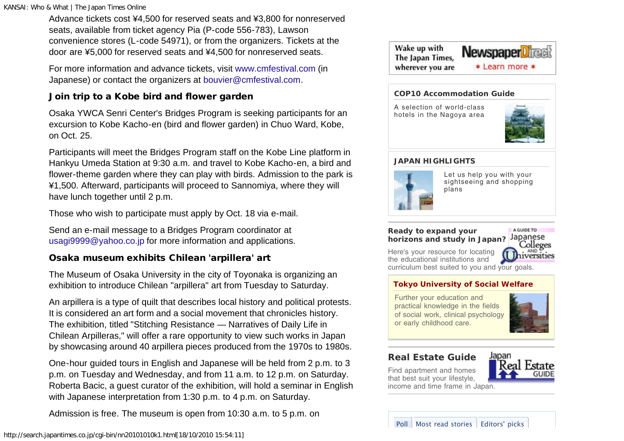Advance tickets cost ¥4,500 for reserved seats and ¥3,800 for nonreserved seats, available from ticket agency Pia (P-code 556-783), Lawson convenience stores (L-code 54971), or from the organizers. Tickets at the door are ¥5,000 for reserved seats and ¥4,500 for nonreserved seats.

For more information and advance tickets, visit [www.cmfestival.com](http://www.cmfestival.com/) (in Japanese) or contact the organizers at [bouvier@cmfestival.com.](mailto:bouvier@cmfestival.com)

## Join trip to a Kobe bird and flower garden

Osaka YWCA Senri Center's Bridges Program is seeking participants for an excursion to Kobe Kacho-en (bird and flower garden) in Chuo Ward, Kobe, on Oct. 25.

Participants will meet the Bridges Program staff on the Kobe Line platform in Hankyu Umeda Station at 9:30 a.m. and travel to Kobe Kacho-en, a bird and flower-theme garden where they can play with birds. Admission to the park is ¥1,500. Afterward, participants will proceed to Sannomiya, where they will have lunch together until 2 p.m.

Those who wish to participate must apply by Oct. 18 via e-mail.

Send an e-mail message to a Bridges Program coordinator at [usagi9999@yahoo.co.jp](mailto:usagi9999@yahoo.co.jp) for more information and applications.

## Osaka museum exhibits Chilean 'arpillera' art

The Museum of Osaka University in the city of Toyonaka is organizing an exhibition to introduce Chilean "arpillera" art from Tuesday to Saturday.

An arpillera is a type of quilt that describes local history and political protests. It is considered an art form and a social movement that chronicles history. The exhibition, titled "Stitching Resistance — Narratives of Daily Life in Chilean Arpilleras," will offer a rare opportunity to view such works in Japan by showcasing around 40 arpillera pieces produced from the 1970s to 1980s.

One-hour guided tours in English and Japanese will be held from 2 p.m. to 3 p.m. on Tuesday and Wednesday, and from 11 a.m. to 12 p.m. on Saturday. Roberta Bacic, a guest curator of the exhibition, will hold a seminar in English with Japanese interpretation from 1:30 p.m. to 4 p.m. on Saturday.

Admission is free. The museum is open from 10:30 a.m. to 5 p.m. on





### **[COP10 Accommodation Guide](http://www.japantimes.co.jp/ads/cnt/?to=http://www.japantimes.co.jp/cop10/&ads=cop10_jig_start)**

[A](http://www.japantimes.co.jp/ads/cnt/?to=http://www.japantimes.co.jp/cop10/&ads=cop10_jig_start) [selection](http://www.japantimes.co.jp/ads/cnt/?to=http://www.japantimes.co.jp/cop10/&ads=cop10_jig_start) [of](http://www.japantimes.co.jp/ads/cnt/?to=http://www.japantimes.co.jp/cop10/&ads=cop10_jig_start) [world-class](http://www.japantimes.co.jp/ads/cnt/?to=http://www.japantimes.co.jp/cop10/&ads=cop10_jig_start) [hotels](http://www.japantimes.co.jp/ads/cnt/?to=http://www.japantimes.co.jp/cop10/&ads=cop10_jig_start) [in](http://www.japantimes.co.jp/ads/cnt/?to=http://www.japantimes.co.jp/cop10/&ads=cop10_jig_start) [the](http://www.japantimes.co.jp/ads/cnt/?to=http://www.japantimes.co.jp/cop10/&ads=cop10_jig_start) [Nagoya](http://www.japantimes.co.jp/ads/cnt/?to=http://www.japantimes.co.jp/cop10/&ads=cop10_jig_start) [area](http://www.japantimes.co.jp/ads/cnt/?to=http://www.japantimes.co.jp/cop10/&ads=cop10_jig_start)



### **[JAPAN HIGHLIGHTS](http://www.japantimes.co.jp/japan-highlights/)**



[Let](http://www.japantimes.co.jp/japan-highlights/) [us](http://www.japantimes.co.jp/japan-highlights/) [help](http://www.japantimes.co.jp/japan-highlights/) [you](http://www.japantimes.co.jp/japan-highlights/) [with](http://www.japantimes.co.jp/japan-highlights/) [your](http://www.japantimes.co.jp/japan-highlights/) [sightseeing](http://www.japantimes.co.jp/japan-highlights/) [and](http://www.japantimes.co.jp/japan-highlights/) [shopping](http://www.japantimes.co.jp/japan-highlights/) [plans](http://www.japantimes.co.jp/japan-highlights/)

#### **[Ready to expand your](http://www.japantimes.co.jp/universities/japanese_universities.html) [horizons and study in Japan?](http://www.japantimes.co.jp/universities/japanese_universities.html)**



[Here's](http://www.japantimes.co.jp/universities/japanese_universities.html) [your](http://www.japantimes.co.jp/universities/japanese_universities.html) [resource](http://www.japantimes.co.jp/universities/japanese_universities.html) [for](http://www.japantimes.co.jp/universities/japanese_universities.html) [locating](http://www.japantimes.co.jp/universities/japanese_universities.html) [the](http://www.japantimes.co.jp/universities/japanese_universities.html) [educational](http://www.japantimes.co.jp/universities/japanese_universities.html) [institutions](http://www.japantimes.co.jp/universities/japanese_universities.html) [and](http://www.japantimes.co.jp/universities/japanese_universities.html) [curriculum](http://www.japantimes.co.jp/universities/japanese_universities.html) [best](http://www.japantimes.co.jp/universities/japanese_universities.html) [suited](http://www.japantimes.co.jp/universities/japanese_universities.html) [to](http://www.japantimes.co.jp/universities/japanese_universities.html) [you](http://www.japantimes.co.jp/universities/japanese_universities.html) [and](http://www.japantimes.co.jp/universities/japanese_universities.html) [your](http://www.japantimes.co.jp/universities/japanese_universities.html) [goals.](http://www.japantimes.co.jp/universities/japanese_universities.html)

### **[Tokyo University of Social Welfare](http://www.japantimes.co.jp/universities/japanese-grad-school.html?id=559)**

[Further](http://www.japantimes.co.jp/universities/japanese-grad-school.html?id=559) [your](http://www.japantimes.co.jp/universities/japanese-grad-school.html?id=559) [education](http://www.japantimes.co.jp/universities/japanese-grad-school.html?id=559) [and](http://www.japantimes.co.jp/universities/japanese-grad-school.html?id=559) [practical](http://www.japantimes.co.jp/universities/japanese-grad-school.html?id=559) [knowledge](http://www.japantimes.co.jp/universities/japanese-grad-school.html?id=559) [in](http://www.japantimes.co.jp/universities/japanese-grad-school.html?id=559) [the](http://www.japantimes.co.jp/universities/japanese-grad-school.html?id=559) [fields](http://www.japantimes.co.jp/universities/japanese-grad-school.html?id=559) [of](http://www.japantimes.co.jp/universities/japanese-grad-school.html?id=559) [social](http://www.japantimes.co.jp/universities/japanese-grad-school.html?id=559) [work,](http://www.japantimes.co.jp/universities/japanese-grad-school.html?id=559) [clinical](http://www.japantimes.co.jp/universities/japanese-grad-school.html?id=559) [psychology](http://www.japantimes.co.jp/universities/japanese-grad-school.html?id=559) [or](http://www.japantimes.co.jp/universities/japanese-grad-school.html?id=559) [early](http://www.japantimes.co.jp/universities/japanese-grad-school.html?id=559) [childhood](http://www.japantimes.co.jp/universities/japanese-grad-school.html?id=559) [care.](http://www.japantimes.co.jp/universities/japanese-grad-school.html?id=559)



# **[Real Estate Guide](http://www.japantimes.co.jp/real_estate/)**

[Find](http://www.japantimes.co.jp/real_estate/) [apartment](http://www.japantimes.co.jp/real_estate/) [and](http://www.japantimes.co.jp/real_estate/) [homes](http://www.japantimes.co.jp/real_estate/) [that](http://www.japantimes.co.jp/real_estate/) [best](http://www.japantimes.co.jp/real_estate/) [suit](http://www.japantimes.co.jp/real_estate/) [your](http://www.japantimes.co.jp/real_estate/) [lifestyle,](http://www.japantimes.co.jp/real_estate/) [income](http://www.japantimes.co.jp/real_estate/) [and](http://www.japantimes.co.jp/real_estate/) [time](http://www.japantimes.co.jp/real_estate/) [frame](http://www.japantimes.co.jp/real_estate/) [in](http://www.japantimes.co.jp/real_estate/) [Japan.](http://www.japantimes.co.jp/real_estate/)



[Poll](javascript:void(0)) [Most read stories](javascript:void(0)) [Editors' picks](javascript:void(0))